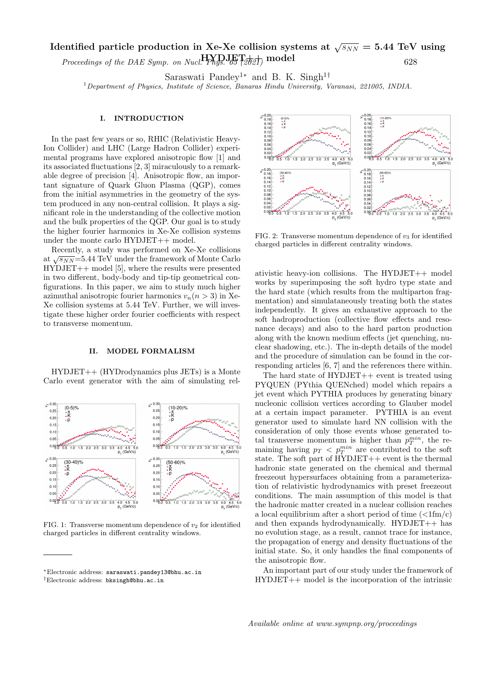## Identified particle production in Xe-Xe collision systems at  $\sqrt{s_{NN}}=5.44\;\text{TeV}$  using Proceedings of the DAE Symp. on Nucl.  $H_{PMS}$ ,  $H_{SUS}$ ,  $H_{SUS}$  model 628

Saraswati Pandey<sup>1∗</sup> and B. K. Singh<sup>1†</sup>

<sup>1</sup>Department of Physics, Institute of Science, Banaras Hindu University, Varanasi, 221005, INDIA.

## I. INTRODUCTION

In the past few years or so, RHIC (Relativistic Heavy-Ion Collider) and LHC (Large Hadron Collider) experimental programs have explored anisotropic flow [1] and its associated fluctuations [2, 3] miraculously to a remarkable degree of precision [4]. Anisotropic flow, an important signature of Quark Gluon Plasma (QGP), comes from the initial asymmetries in the geometry of the system produced in any non-central collision. It plays a significant role in the understanding of the collective motion and the bulk properties of the QGP. Our goal is to study the higher fourier harmonics in Xe-Xe collision systems under the monte carlo HYDJET++ model.

Recently, a study was performed on Xe-Xe collisions recently, a study was performed on  $Xe^{-Xe}$  considers the  $\sqrt{s_{NN}}$ =5.44 TeV under the framework of Monte Carlo HYDJET++ model [5], where the results were presented in two different, body-body and tip-tip geometrical configurations. In this paper, we aim to study much higher azimuthal anisotropic fourier harmonics  $v_n(n > 3)$  in Xe-Xe collision systems at 5.44 TeV. Further, we will investigate these higher order fourier coefficients with respect to transverse momentum.

## II. MODEL FORMALISM

HYDJET++ (HYDrodynamics plus JETs) is a Monte Carlo event generator with the aim of simulating rel-



FIG. 1: Transverse momentum dependence of  $v_2$  for identified charged particles in different centrality windows.



FIG. 2: Transverse momentum dependence of  $v_3$  for identified charged particles in different centrality windows.

ativistic heavy-ion collisions. The HYDJET++ model works by superimposing the soft hydro type state and the hard state (which results from the multiparton fragmentation) and simulataneously treating both the states independently. It gives an exhaustive approach to the soft hadroproduction (collective flow effects and resonance decays) and also to the hard parton production along with the known medium effects (jet quenching, nuclear shadowing, etc.). The in-depth details of the model and the procedure of simulation can be found in the corresponding articles [6, 7] and the references there within.

The hard state of  $HYDJET++$  event is treated using PYQUEN (PYthia QUENched) model which repairs a jet event which PYTHIA produces by generating binary nucleonic collision vertices according to Glauber model at a certain impact parameter. PYTHIA is an event generator used to simulate hard NN collision with the consideration of only those events whose generated total transverse momentum is higher than  $p_T^{min}$ , the remaining having  $p_T < p_T^{min}$  are contributed to the soft state. The soft part of HYDJET++ event is the thermal hadronic state generated on the chemical and thermal freezeout hypersurfaces obtaining from a parameterization of relativistic hydrodynamics with preset freezeout conditions. The main assumption of this model is that the hadronic matter created in a nuclear collision reaches a local equilibrium after a short period of time  $\left(\langle 1 \text{fm/c}\right)$ and then expands hydrodynamically. HYDJET++ has no evolution stage, as a result, cannot trace for instance, the propagation of energy and density fluctuations of the initial state. So, it only handles the final components of the anisotropic flow.

An important part of our study under the framework of HYDJET++ model is the incorporation of the intrinsic

<sup>∗</sup>Electronic address: saraswati.pandey13@bhu.ac.in †Electronic address: bksingh@bhu.ac.in